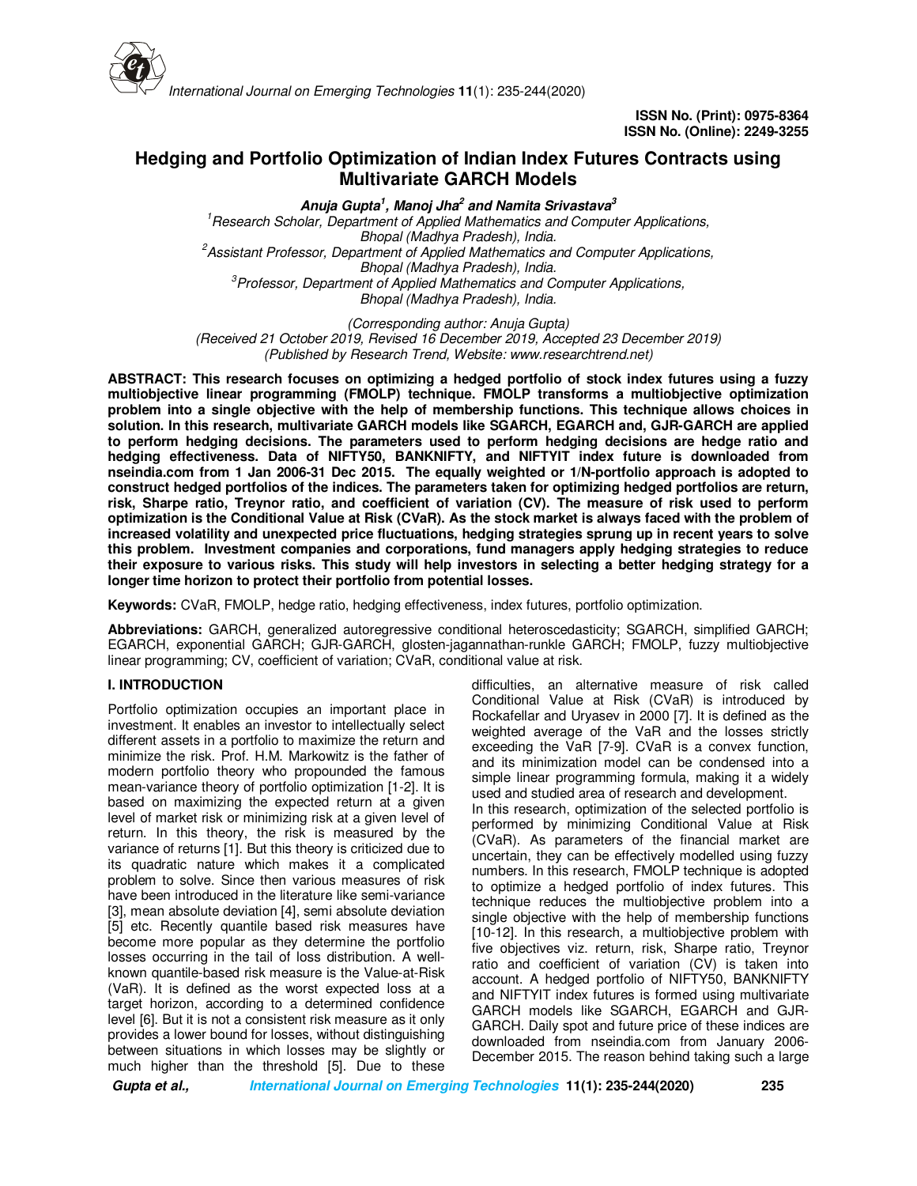

# **Hedging and Portfolio Optimization of Indian Index Futures Contracts using Multivariate GARCH Models**

**Anuja Gupta<sup>1</sup> , Manoj Jha<sup>2</sup> and Namita Srivastava<sup>3</sup>** *<sup>1</sup>Research Scholar, Department of Applied Mathematics and Computer Applications, Bhopal (Madhya Pradesh), India. <sup>2</sup>Assistant Professor, Department of Applied Mathematics and Computer Applications, Bhopal (Madhya Pradesh), India. <sup>3</sup>Professor, Department of Applied Mathematics and Computer Applications, Bhopal (Madhya Pradesh), India.*

*(Corresponding author: Anuja Gupta) (Received 21 October 2019, Revised 16 December 2019, Accepted 23 December 2019) (Published by Research Trend, Website: www.researchtrend.net)*

**ABSTRACT: This research focuses on optimizing a hedged portfolio of stock index futures using a fuzzy multiobjective linear programming (FMOLP) technique. FMOLP transforms a multiobjective optimization problem into a single objective with the help of membership functions. This technique allows choices in solution. In this research, multivariate GARCH models like SGARCH, EGARCH and, GJR-GARCH are applied to perform hedging decisions. The parameters used to perform hedging decisions are hedge ratio and hedging effectiveness. Data of NIFTY50, BANKNIFTY, and NIFTYIT index future is downloaded from nseindia.com from 1 Jan 2006-31 Dec 2015. The equally weighted or 1/N-portfolio approach is adopted to construct hedged portfolios of the indices. The parameters taken for optimizing hedged portfolios are return, risk, Sharpe ratio, Treynor ratio, and coefficient of variation (CV). The measure of risk used to perform optimization is the Conditional Value at Risk (CVaR). As the stock market is always faced with the problem of increased volatility and unexpected price fluctuations, hedging strategies sprung up in recent years to solve this problem. Investment companies and corporations, fund managers apply hedging strategies to reduce their exposure to various risks. This study will help investors in selecting a better hedging strategy for a longer time horizon to protect their portfolio from potential losses.** 

**Keywords:** CVaR, FMOLP, hedge ratio, hedging effectiveness, index futures, portfolio optimization.

**Abbreviations:** GARCH, generalized autoregressive conditional heteroscedasticity; SGARCH, simplified GARCH; EGARCH, exponential GARCH; GJR-GARCH, glosten-jagannathan-runkle GARCH; FMOLP, fuzzy multiobjective linear programming; CV, coefficient of variation; CVaR, conditional value at risk.

## **I. INTRODUCTION**

Portfolio optimization occupies an important place in investment. It enables an investor to intellectually select different assets in a portfolio to maximize the return and minimize the risk. Prof. H.M. Markowitz is the father of modern portfolio theory who propounded the famous mean-variance theory of portfolio optimization [1-2]. It is based on maximizing the expected return at a given level of market risk or minimizing risk at a given level of return. In this theory, the risk is measured by the variance of returns [1]. But this theory is criticized due to its quadratic nature which makes it a complicated problem to solve. Since then various measures of risk have been introduced in the literature like semi-variance [3], mean absolute deviation [4], semi absolute deviation [5] etc. Recently quantile based risk measures have become more popular as they determine the portfolio losses occurring in the tail of loss distribution. A wellknown quantile-based risk measure is the Value-at-Risk (VaR). It is defined as the worst expected loss at a target horizon, according to a determined confidence level [6]. But it is not a consistent risk measure as it only provides a lower bound for losses, without distinguishing between situations in which losses may be slightly or much higher than the threshold [5]. Due to these

difficulties, an alternative measure of risk called Conditional Value at Risk (CVaR) is introduced by Rockafellar and Uryasev in 2000 [7]. It is defined as the weighted average of the VaR and the losses strictly exceeding the VaR [7-9]. CVaR is a convex function, and its minimization model can be condensed into a simple linear programming formula, making it a widely used and studied area of research and development. In this research, optimization of the selected portfolio is performed by minimizing Conditional Value at Risk (CVaR). As parameters of the financial market are uncertain, they can be effectively modelled using fuzzy numbers. In this research, FMOLP technique is adopted to optimize a hedged portfolio of index futures. This technique reduces the multiobjective problem into a single objective with the help of membership functions [10-12]. In this research, a multiobjective problem with five objectives viz. return, risk, Sharpe ratio, Treynor ratio and coefficient of variation (CV) is taken into account. A hedged portfolio of NIFTY50, BANKNIFTY and NIFTYIT index futures is formed using multivariate GARCH models like SGARCH, EGARCH and GJR-GARCH. Daily spot and future price of these indices are downloaded from nseindia.com from January 2006- December 2015. The reason behind taking such a large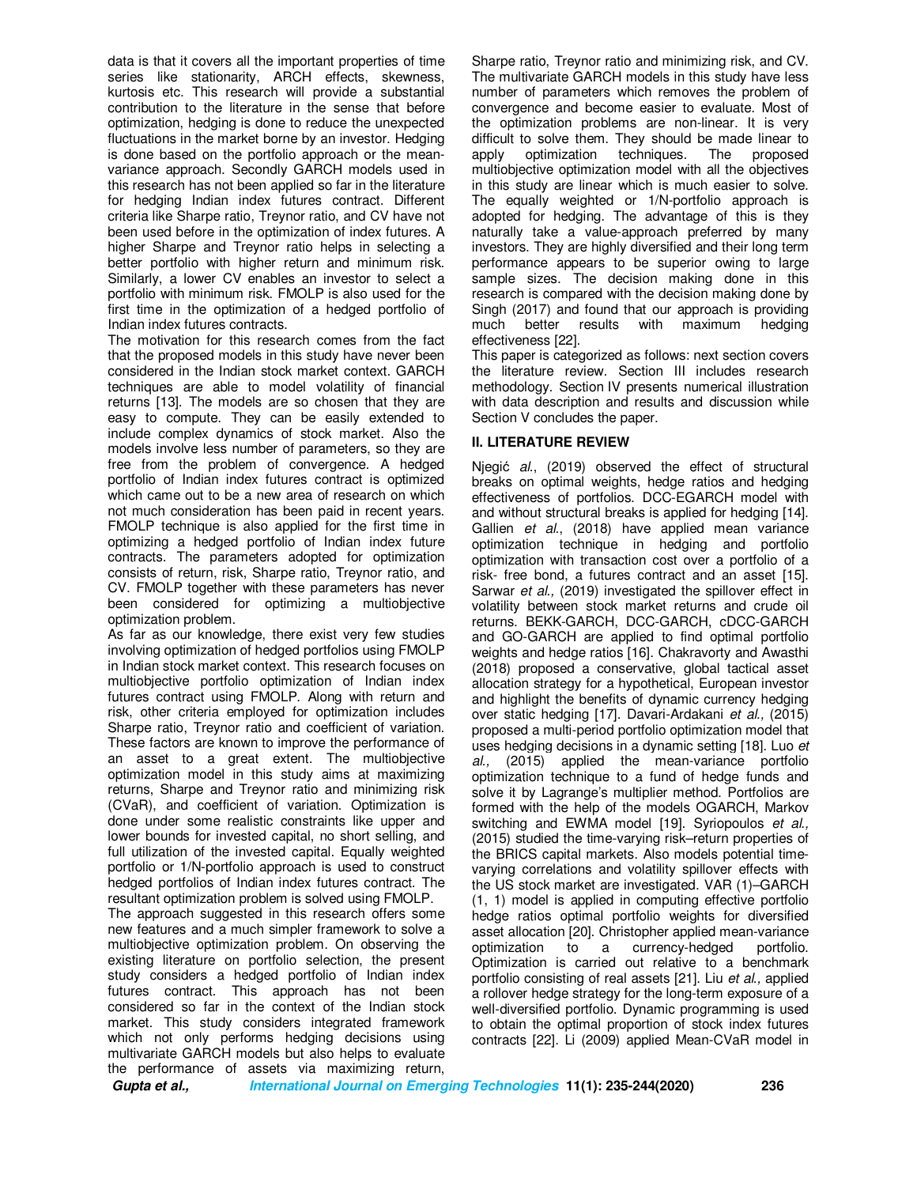data is that it covers all the important properties of time series like stationarity, ARCH effects, skewness, kurtosis etc. This research will provide a substantial contribution to the literature in the sense that before optimization, hedging is done to reduce the unexpected fluctuations in the market borne by an investor. Hedging is done based on the portfolio approach or the meanvariance approach. Secondly GARCH models used in this research has not been applied so far in the literature for hedging Indian index futures contract. Different criteria like Sharpe ratio, Treynor ratio, and CV have not been used before in the optimization of index futures. A higher Sharpe and Treynor ratio helps in selecting a better portfolio with higher return and minimum risk. Similarly, a lower CV enables an investor to select a portfolio with minimum risk. FMOLP is also used for the first time in the optimization of a hedged portfolio of Indian index futures contracts.

The motivation for this research comes from the fact that the proposed models in this study have never been considered in the Indian stock market context. GARCH techniques are able to model volatility of financial returns [13]. The models are so chosen that they are easy to compute. They can be easily extended to include complex dynamics of stock market. Also the models involve less number of parameters, so they are free from the problem of convergence. A hedged portfolio of Indian index futures contract is optimized which came out to be a new area of research on which not much consideration has been paid in recent years. FMOLP technique is also applied for the first time in optimizing a hedged portfolio of Indian index future contracts. The parameters adopted for optimization consists of return, risk, Sharpe ratio, Treynor ratio, and CV. FMOLP together with these parameters has never been considered for optimizing a multiobjective optimization problem.

As far as our knowledge, there exist very few studies involving optimization of hedged portfolios using FMOLP in Indian stock market context. This research focuses on multiobjective portfolio optimization of Indian index futures contract using FMOLP. Along with return and risk, other criteria employed for optimization includes Sharpe ratio, Treynor ratio and coefficient of variation. These factors are known to improve the performance of an asset to a great extent. The multiobjective optimization model in this study aims at maximizing returns, Sharpe and Treynor ratio and minimizing risk (CVaR), and coefficient of variation. Optimization is done under some realistic constraints like upper and lower bounds for invested capital, no short selling, and full utilization of the invested capital. Equally weighted portfolio or 1/N-portfolio approach is used to construct hedged portfolios of Indian index futures contract. The resultant optimization problem is solved using FMOLP.

The approach suggested in this research offers some new features and a much simpler framework to solve a multiobjective optimization problem. On observing the existing literature on portfolio selection, the present study considers a hedged portfolio of Indian index futures contract. This approach has not been considered so far in the context of the Indian stock market. This study considers integrated framework which not only performs hedging decisions using multivariate GARCH models but also helps to evaluate the performance of assets via maximizing return,

Sharpe ratio, Treynor ratio and minimizing risk, and CV. The multivariate GARCH models in this study have less number of parameters which removes the problem of convergence and become easier to evaluate. Most of the optimization problems are non-linear. It is very difficult to solve them. They should be made linear to apply optimization techniques. The proposed multiobjective optimization model with all the objectives in this study are linear which is much easier to solve. The equally weighted or 1/N-portfolio approach is adopted for hedging. The advantage of this is they naturally take a value-approach preferred by many investors. They are highly diversified and their long term performance appears to be superior owing to large sample sizes. The decision making done in this research is compared with the decision making done by Singh (2017) and found that our approach is providing much better results with maximum hedging effectiveness [22].

This paper is categorized as follows: next section covers the literature review. Section III includes research methodology. Section IV presents numerical illustration with data description and results and discussion while Section V concludes the paper.

## **II. LITERATURE REVIEW**

Njegić *al.*, (2019) observed the effect of structural breaks on optimal weights, hedge ratios and hedging effectiveness of portfolios. DCC-EGARCH model with and without structural breaks is applied for hedging [14]. Gallien *et al.*, (2018) have applied mean variance optimization technique in hedging and portfolio optimization with transaction cost over a portfolio of a risk- free bond, a futures contract and an asset [15]. Sarwar *et al.,* (2019) investigated the spillover effect in volatility between stock market returns and crude oil returns. BEKK-GARCH, DCC-GARCH, cDCC-GARCH and GO-GARCH are applied to find optimal portfolio weights and hedge ratios [16]. Chakravorty and Awasthi (2018) proposed a conservative, global tactical asset allocation strategy for a hypothetical, European investor and highlight the benefits of dynamic currency hedging over static hedging [17]. Davari-Ardakani *et al.,* (2015) proposed a multi-period portfolio optimization model that uses hedging decisions in a dynamic setting [18]. Luo *et al.,* (2015) applied the mean-variance portfolio optimization technique to a fund of hedge funds and solve it by Lagrange's multiplier method. Portfolios are formed with the help of the models OGARCH, Markov switching and EWMA model [19]. Syriopoulos *et al.,*  (2015) studied the time-varying risk–return properties of the BRICS capital markets. Also models potential timevarying correlations and volatility spillover effects with the US stock market are investigated. VAR (1)–GARCH (1, 1) model is applied in computing effective portfolio hedge ratios optimal portfolio weights for diversified asset allocation [20]. Christopher applied mean-variance optimization to a currency-hedged portfolio. Optimization is carried out relative to a benchmark portfolio consisting of real assets [21]. Liu *et al.,* applied a rollover hedge strategy for the long-term exposure of a well-diversified portfolio. Dynamic programming is used to obtain the optimal proportion of stock index futures contracts [22]. Li (2009) applied Mean-CVaR model in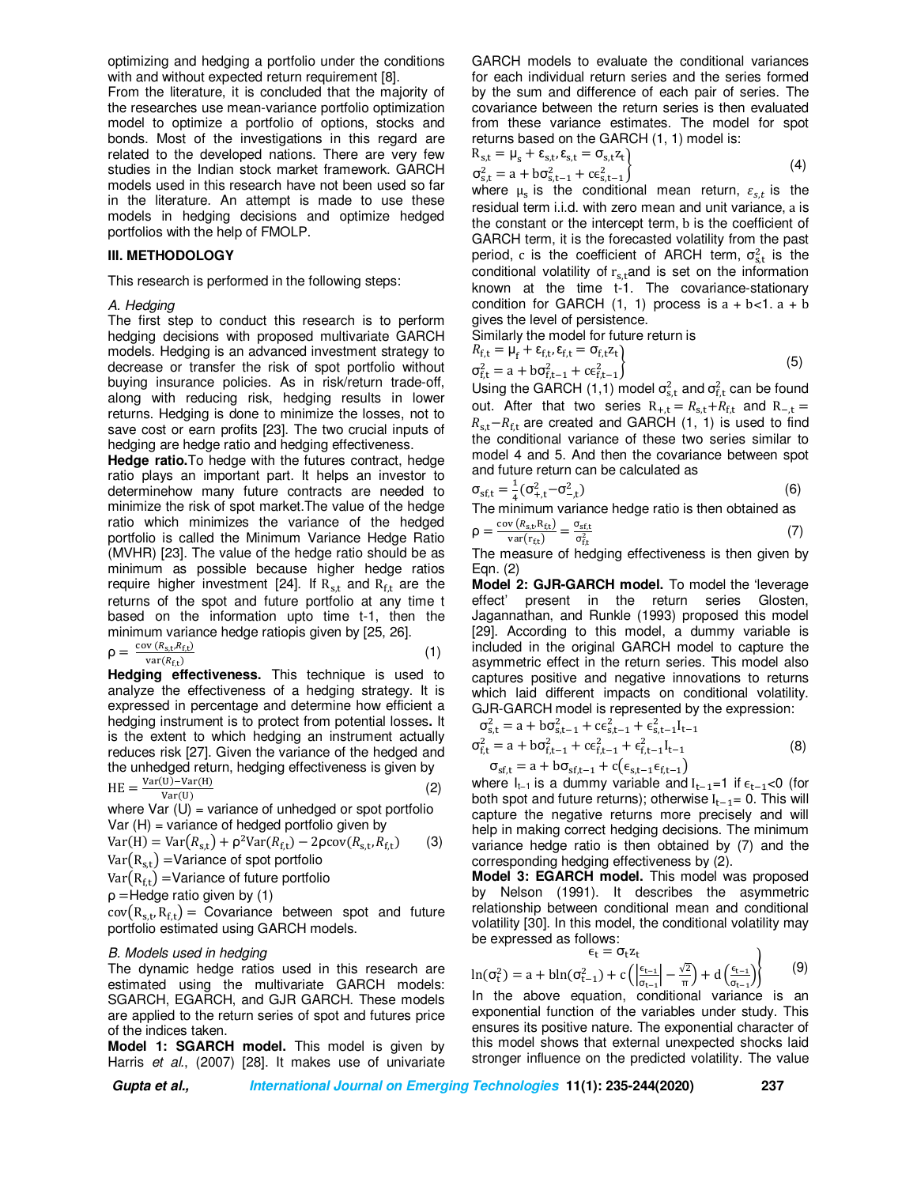optimizing and hedging a portfolio under the conditions with and without expected return requirement [8].

From the literature, it is concluded that the majority of the researches use mean-variance portfolio optimization model to optimize a portfolio of options, stocks and bonds. Most of the investigations in this regard are related to the developed nations. There are very few studies in the Indian stock market framework. GARCH models used in this research have not been used so far in the literature. An attempt is made to use these models in hedging decisions and optimize hedged portfolios with the help of FMOLP.

#### **III. METHODOLOGY**

This research is performed in the following steps:

#### *A. Hedging*

The first step to conduct this research is to perform hedging decisions with proposed multivariate GARCH models. Hedging is an advanced investment strategy to decrease or transfer the risk of spot portfolio without buying insurance policies. As in risk/return trade-off, along with reducing risk, hedging results in lower returns. Hedging is done to minimize the losses, not to save cost or earn profits [23]. The two crucial inputs of hedging are hedge ratio and hedging effectiveness.

**Hedge ratio.**To hedge with the futures contract, hedge ratio plays an important part. It helps an investor to determinehow many future contracts are needed to minimize the risk of spot market.The value of the hedge ratio which minimizes the variance of the hedged portfolio is called the Minimum Variance Hedge Ratio (MVHR) [23]. The value of the hedge ratio should be as minimum as possible because higher hedge ratios require higher investment [24]. If  $R_{s,t}$  and  $R_{f,t}$  are the returns of the spot and future portfolio at any time t based on the information upto time t-1, then the minimum variance hedge ratioρis given by [25, 26].

$$
\rho = \frac{\text{cov}\left(R_{\text{s,t}}R_{\text{ft}}\right)}{\text{var}(R_{\text{ft}})}\tag{1}
$$

**Hedging effectiveness.** This technique is used to analyze the effectiveness of a hedging strategy. It is expressed in percentage and determine how efficient a hedging instrument is to protect from potential losses**.** It is the extent to which hedging an instrument actually reduces risk [27]. Given the variance of the hedged and the unhedged return, hedging effectiveness is given by  $Var(U)-Var(H)$ 

$$
HE = \frac{\text{var}(0) - \text{var}(H)}{\text{Var}(U)}\tag{2}
$$

where  $Var(U)$  = variance of unhedged or spot portfolio  $Var(H)$  = variance of hedged portfolio given by

$$
Var(H) = Var(R_{s,t}) + \rho^2 Var(R_{f,t}) - 2\rho cov(R_{s,t}, R_{f,t})
$$
 (3)  
Var(R<sub>s,t</sub>) = Variance of spot portfolio

$$
Var(R_{f,t}) = Variance of future portfolio
$$

ρ =Hedge ratio given by (1)

 $cov(R_{s,t}, R_{f,t}) = Covariance$  between spot and future portfolio estimated using GARCH models.

#### *B. Models used in hedging*

The dynamic hedge ratios used in this research are estimated using the multivariate GARCH models: SGARCH, EGARCH, and GJR GARCH. These models are applied to the return series of spot and futures price of the indices taken.

**Model 1: SGARCH model.** This model is given by Harris *et al.*, (2007) [28]. It makes use of univariate GARCH models to evaluate the conditional variances for each individual return series and the series formed by the sum and difference of each pair of series. The covariance between the return series is then evaluated from these variance estimates. The model for spot returns based on the GARCH (1, 1) model is:

$$
R_{s,t} = \mu_s + \varepsilon_{s,t}, \varepsilon_{s,t} = \sigma_{s,t} z_t \n\sigma_{s,t}^2 = a + b\sigma_{s,t-1}^2 + c\varepsilon_{s,t-1}^2
$$
\n(4)

 $\mathcal{L}_{s,t} = \alpha + \mathcal{L}_{s,t-1} + \mathcal{L}_{s,t-1}$ <br>where  $\mu_s$  is the conditional mean return,  $\varepsilon_{s,t}$  is the residual term i.i.d. with zero mean and unit variance, a is the constant or the intercept term, b is the coefficient of GARCH term, it is the forecasted volatility from the past period, c is the coefficient of ARCH term,  $\sigma_{s,t}^2$  is the conditional volatility of  $r_{s,t}$ and is set on the information known at the time t-1. The covariance-stationary condition for GARCH  $(1, 1)$  process is  $a + b < 1$ .  $a + b$ gives the level of persistence.

Similarly the model for future return is

$$
R_{f,t} = \mu_f + \varepsilon_{f,t}, \varepsilon_{f,t} = \sigma_{f,t} z_t
$$
  
\n
$$
\sigma_{f,t}^2 = a + b \sigma_{f,t-1}^2 + c \varepsilon_{f,t-1}^2
$$
\n(5)

Using the GARCH (1,1) model  $\sigma_{s,t}^2$  and  $\sigma_{f,t}^2$  can be found out. After that two series  $R_{+,t} = R_{s,t} + R_{f,t}$  and  $R_{-,t} =$  $R_{s,t}-R_{f,t}$  are created and GARCH (1, 1) is used to find the conditional variance of these two series similar to model 4 and 5. And then the covariance between spot and future return can be calculated as

$$
\sigma_{\text{sf,t}} = \frac{1}{4} (\sigma_{+,t}^2 - \sigma_{-,t}^2)
$$
 (6)

The minimum variance hedge ratio is then obtained as

$$
\rho = \frac{\text{cov}\left(R_{s,t}, R_{ft}\right)}{\text{var}(r_{ft})} = \frac{\sigma_{st,t}}{\sigma_{ft}^2} \tag{7}
$$

The measure of hedging effectiveness is then given by Eqn. (2)

**Model 2: GJR-GARCH model.** To model the 'leverage effect' present in the return series Glosten, Jagannathan, and Runkle (1993) proposed this model [29]. According to this model, a dummy variable is included in the original GARCH model to capture the asymmetric effect in the return series. This model also captures positive and negative innovations to returns which laid different impacts on conditional volatility. GJR-GARCH model is represented by the expression:

$$
\sigma_{s,t}^{2} = a + b\sigma_{s,t-1}^{2} + c\epsilon_{s,t-1}^{2} + \epsilon_{s,t-1}^{2}I_{t-1}
$$
  
\n
$$
\sigma_{f,t}^{2} = a + b\sigma_{f,t-1}^{2} + c\epsilon_{f,t-1}^{2} + \epsilon_{f,t-1}^{2}I_{t-1}
$$
\n(8)

 $\sigma_{\text{sf,t}} = a + b \sigma_{\text{sf,t-1}} + c(\epsilon_{\text{s,t-1}} \epsilon_{\text{f,t-1}})$ where  $I_{t-1}$  is a dummy variable and  $I_{t-1}=1$  if  $\epsilon_{t-1}$ <0 (for both spot and future returns); otherwise  $I_{t-1}$ = 0. This will capture the negative returns more precisely and will help in making correct hedging decisions. The minimum variance hedge ratio is then obtained by (7) and the corresponding hedging effectiveness by (2).

**Model 3: EGARCH model.** This model was proposed by Nelson (1991). It describes the asymmetric relationship between conditional mean and conditional volatility [30]. In this model, the conditional volatility may be expressed as follows:

$$
\epsilon_t = \sigma_t z_t
$$

$$
\ln(\sigma_t^2) = a + b \ln(\sigma_{t-1}^2) + c \left( \left| \frac{\epsilon_{t-1}}{\sigma_{t-1}} \right| - \frac{\sqrt{2}}{\pi} \right) + d \left( \frac{\epsilon_{t-1}}{\sigma_{t-1}} \right)
$$
(9)

 $\lim_{\sigma_t \to 0}$   $\lim_{\sigma_{t-1}}$   $\lim_{\sigma_{t-1}}$   $\lim_{\sigma_{t-1}}$   $\lim_{\sigma_{t-1}}$   $\lim_{\sigma_{t-1}}$   $\sigma_{t-1}$  is an exponential function of the variables under study. This ensures its positive nature. The exponential character of this model shows that external unexpected shocks laid stronger influence on the predicted volatility. The value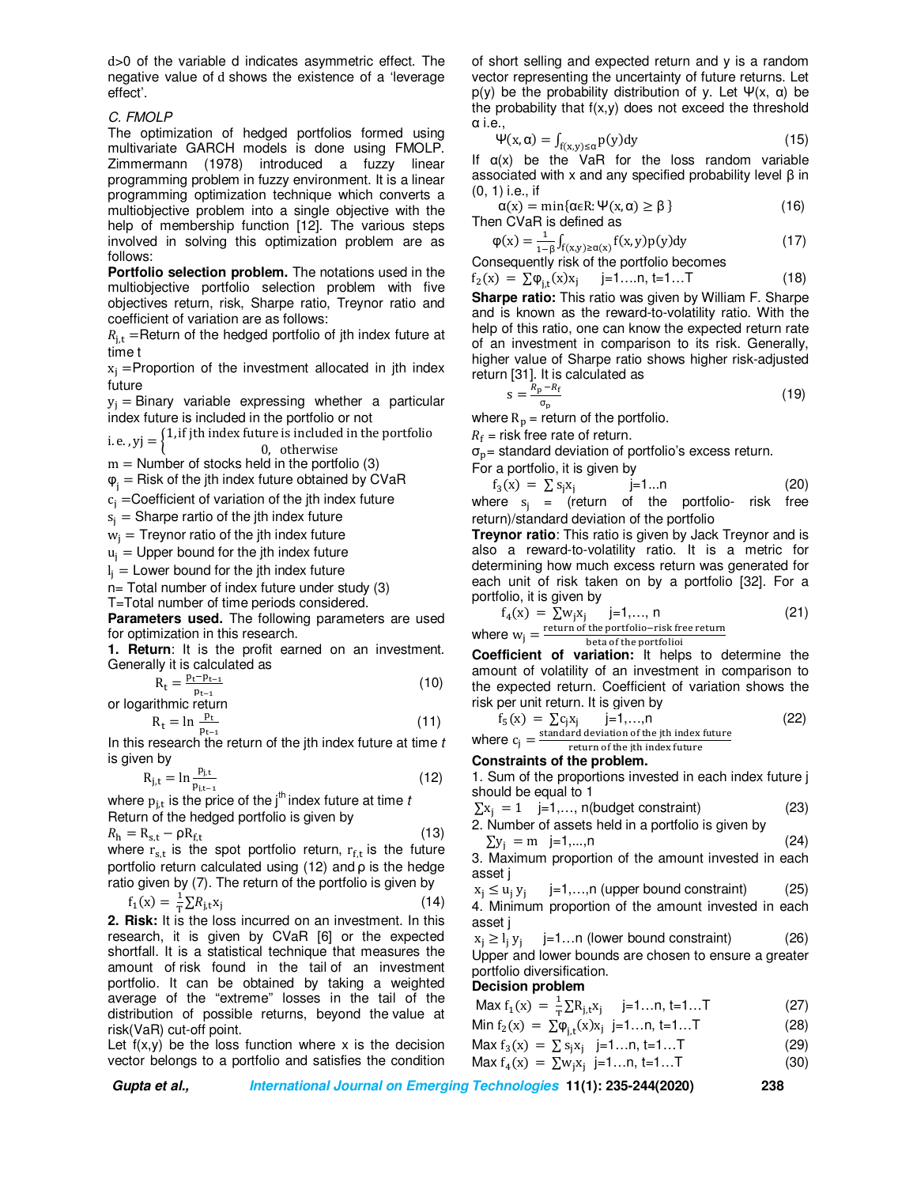d>0 of the variable d indicates asymmetric effect. The negative value of d shows the existence of a 'leverage effect'.

### *C. FMOLP*

The optimization of hedged portfolios formed using multivariate GARCH models is done using FMOLP. Zimmermann (1978) introduced a fuzzy linear programming problem in fuzzy environment. It is a linear programming optimization technique which converts a multiobjective problem into a single objective with the help of membership function [12]. The various steps involved in solving this optimization problem are as follows:

**Portfolio selection problem.** The notations used in the multiobjective portfolio selection problem with five objectives return, risk, Sharpe ratio, Treynor ratio and coefficient of variation are as follows:

 $R_{i,t}$  =Return of the hedged portfolio of jth index future at time t

 $x_i$  =Proportion of the investment allocated in jth index future

 $y_i$  = Binary variable expressing whether a particular index future is included in the portfolio or not

i. e. ,  $yj = \begin{cases} 1, & \text{if } j \text{th index future is included in the portfolio} \\ 0, & \text{if } j \text{th index future is included in the portfolio} \end{cases}$ 0, otherwise

 $m =$  Number of stocks held in the portfolio (3)

 $\varphi_i$  = Risk of the jth index future obtained by CVaR

 $c_i$  =Coefficient of variation of the jth index future

 $s_i$  = Sharpe rartio of the jth index future

 $w_i$  = Treynor ratio of the jth index future

 $u_i$  = Upper bound for the jth index future

 $I_j =$  Lower bound for the jth index future

n= Total number of index future under study (3)

T=Total number of time periods considered.

**Parameters used.** The following parameters are used for optimization in this research.

**1. Return**: It is the profit earned on an investment. Generally it is calculated as

$$
R_t = \frac{p_t - p_{t-1}}{p_{t-1}}
$$
 (10)

or logarithmic return

$$
R_t = \ln \frac{p_t}{p_{t-1}}
$$
 (11)  
is necessary to find the other of the *i*th index future at time t

In this research the return of the jth index future at time *t* is given by

$$
R_{j,t} = \ln \frac{p_{j,t}}{p_{j,t-1}}
$$
 (12)

where  $p_{i,t}$  is the price of the j<sup>th</sup> index future at time *t* Return of the hedged portfolio is given by

$$
R_{\rm h} = R_{\rm st} - \rho R_{\rm ft} \tag{13}
$$

where  $r_{s,t}$  is the spot portfolio return,  $r_{f,t}$  is the future portfolio return calculated using (12) and ρ is the hedge ratio given by (7). The return of the portfolio is given by

$$
f_1(x) = \frac{1}{T} \sum R_{j,t} x_j
$$
 (14)

**2. Risk:** It is the loss incurred on an investment. In this research, it is given by CVaR [6] or the expected shortfall. It is a statistical technique that measures the amount of risk found in the tail of an investment portfolio. It can be obtained by taking a weighted average of the "extreme" losses in the tail of the distribution of possible returns, beyond the value at risk(VaR) cut-off point.

Let  $f(x,y)$  be the loss function where x is the decision vector belongs to a portfolio and satisfies the condition of short selling and expected return and y is a random vector representing the uncertainty of future returns. Let  $p(y)$  be the probability distribution of y. Let  $\Psi(x, \alpha)$  be the probability that  $f(x,y)$  does not exceed the threshold α i.e.,

$$
\Psi(x,\alpha) = \int_{f(x,y)\leq \alpha} p(y)dy
$$
\n(15)

If  $\alpha(x)$  be the VaR for the loss random variable associated with x and any specified probability level β in (0, 1) i.e., if

$$
\alpha(x) = \min\{\alpha \in R: \Psi(x, \alpha) \ge \beta\}
$$
 (16)  
Then CVaR is defined as

 $φ(x) = \frac{1}{1-}$  $\frac{1}{1-\beta}\int_{f(x,y)\geq \alpha(x)} f(x,y)p(y)dy$ (17)

Consequently risk of the portfolio becomes

$$
f_2(x) = \sum \phi_{j,t}(x)x_j \qquad j = 1...n, t = 1...T \qquad (18)
$$

**Sharpe ratio:** This ratio was given by William F. Sharpe and is known as the reward-to-volatility ratio. With the help of this ratio, one can know the expected return rate of an investment in comparison to its risk. Generally, higher value of Sharpe ratio shows higher risk-adjusted return [31]. It is calculated as

$$
s = \frac{R_p - R_f}{\sigma_p} \tag{19}
$$

where  $R_p$  = return of the portfolio.

 $R_{\rm f}$  = risk free rate of return.

 $\sigma_{\rm p}$  standard deviation of portfolio's excess return.<br>For a portfolio it is given by

For a portfolio, it is given by

 $f_3(x) = \sum s_j x_j$  j=1...n (20) where  $s_i$  = (return of the portfolio- risk free return)/standard deviation of the portfolio

**Treynor ratio**: This ratio is given by Jack Treynor and is also a reward-to-volatility ratio. It is a metric for determining how much excess return was generated for each unit of risk taken on by a portfolio [32]. For a portfolio, it is given by

$$
f_4(x) = \sum w_i x_i \quad j=1,...,n
$$
  
where  $w_j = \frac{\text{return of the portfolio-risk free return}}{\text{beta of the portfolio}}$  (21)

beta of the portfolioi

**Coefficient of variation:** It helps to determine the amount of volatility of an investment in comparison to the expected return. Coefficient of variation shows the risk per unit return. It is given by

$$
f_5(x) = \sum c_j x_j
$$
 j=1,...,n (22)  
where  $c_i$  =  $\frac{\text{standard deviation of the jth index future}}{\text{total}}$ 

where  $c_j$ return of the ith index future

## **Constraints of the problem.**

1. Sum of the proportions invested in each index future j should be equal to 1

$$
\sum x_j = 1 \quad j=1,\dots, n(budget constraint) \tag{23}
$$

2. Number of assets held in a portfolio is given by  $\sum y_i = m$  j=1,...,n (24)

3. Maximum proportion of the amount invested in each asset j

$$
x_j \le u_j y_j \qquad j = 1,...,n \text{ (upper bound constraint)} \tag{25}
$$

4. Minimum proportion of the amount invested in each asset j

 $x_j \ge l_j y_j$  j=1...n (lower bound constraint) (26) Upper and lower bounds are chosen to ensure a greater portfolio diversification.

## **Decision problem**

|   | Max $f_1(x) = \frac{1}{T} \sum R_{j,t} x_j$ j=1n, t=1T | (27) |
|---|--------------------------------------------------------|------|
| . |                                                        |      |

Min  $f_2(x) = \sum_{i=1}^{n} \varphi_{i,t}(x) x_i$  j=1...n, t=1...T (28)

$$
\begin{array}{lll}\n\text{Max } f_3(x) &=& \sum s_i x_i \quad j=1...n, \ t=1...T \quad (29) \\
\text{Max } f_4(x) &=& \sum w_j x_j \quad j=1...n, \ t=1...T \quad (30)\n\end{array}
$$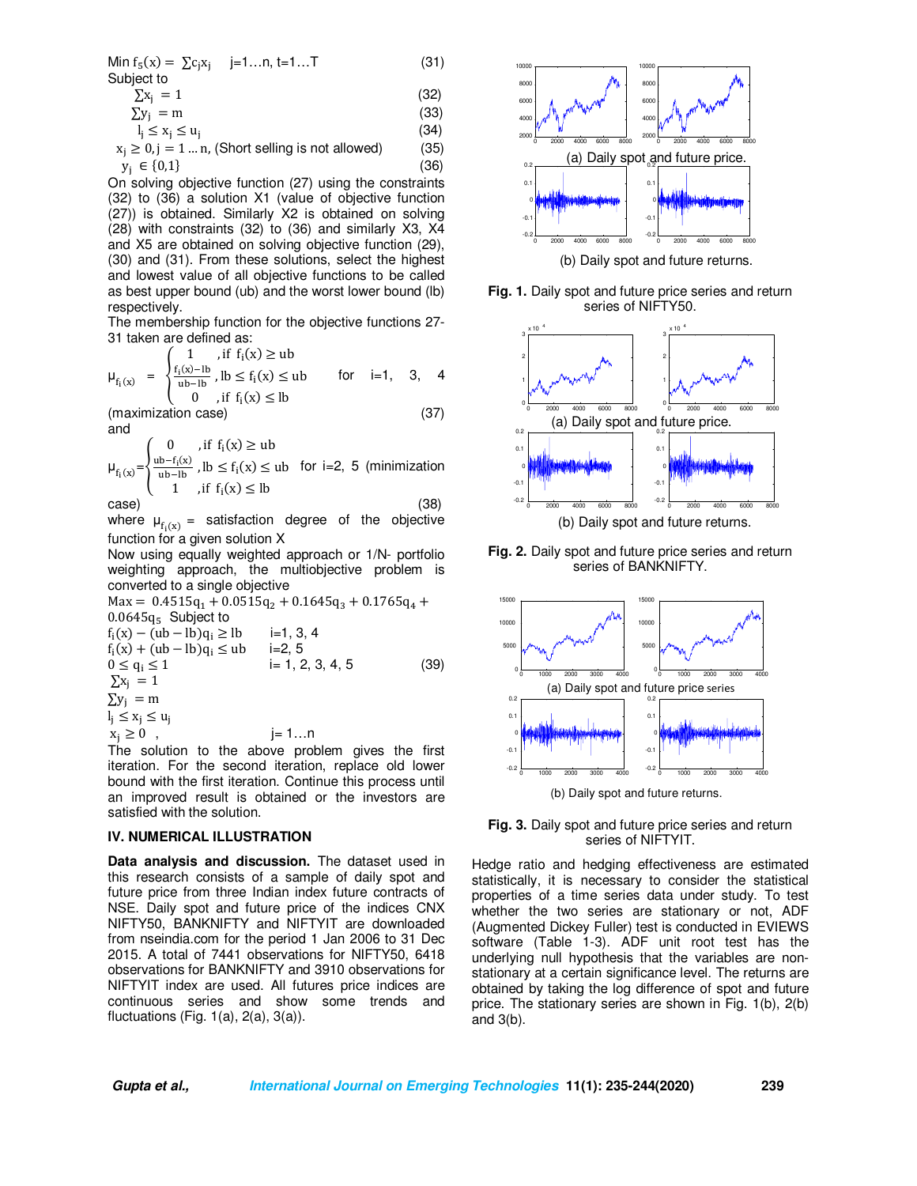| Min $f_5(x) = \sum c_i x_i$ j=1n, t=1T | (31) |
|----------------------------------------|------|
| Subject to                             |      |
| $\sum x_i = 1$                         | (32) |

$$
\sum y_i = m \tag{33}
$$

$$
l_j \le x_j \le u_j \tag{34}
$$

$$
xi \ge 0, j = 1 ... n, (Short selling is not allowed)
$$
 (35)  

$$
yj \in \{0,1\}
$$
 (36)

On solving objective function (27) using the constraints (32) to (36) a solution X1 (value of objective function (27)) is obtained. Similarly X2 is obtained on solving (28) with constraints (32) to (36) and similarly X3, X4 and X5 are obtained on solving objective function (29), (30) and (31). From these solutions, select the highest and lowest value of all objective functions to be called as best upper bound (ub) and the worst lower bound (lb) respectively.

The membership function for the objective functions 27- 31 taken are defined as:

$$
\mu_{f_i(x)} = \begin{cases} 1, & \text{if } f_i(x) \geq ub \\ \frac{f_i(x) - lb}{ub - lb}, & lb \leq f_i(x) \leq ub \\ 0, & \text{if } f_i(x) < lb \end{cases} \quad \text{for} \quad i = 1, 3, 4
$$

0, if  $f_i(x) \leq lb$ (maximization case) (37) and

$$
\mu_{f_i(x)} = \begin{cases}\n0 & \text{, if } f_i(x) \ge \text{ub} \\
\frac{\text{ub} - f_i(x)}{\text{ub} - \text{lb}} & \text{, } \text{lb} \le f_i(x) \le \text{ub} \quad \text{for } i = 2, 5 \text{ (minimization)} \\
1 & \text{, if } f_i(x) \le \text{lb}\n\end{cases}
$$
\n(38)

where  $\mu_{f_i(x)} =$  satisfaction degree of the objective function for a given solution X

Now using equally weighted approach or 1/N- portfolio weighting approach, the multiobjective problem is converted to a single objective

 $Max = 0.4515q_1 + 0.0515q_2 + 0.1645q_3 + 0.1765q_4 +$  $0.0645q_5$  Subject to  $f_i(x) - (ub - lb)q_i \ge lb$  i=1, 3, 4  $f_i(x) + (ub - lb)q_i \leq ub$  i=2, 5  $0 \le q_i \le 1$  i= 1, 2, 3, 4, 5 (39)  $\Sigma$ x<sub>i</sub> = 1  $\Sigma y_i = m$  $I_j \leq X_j \leq U_j$  $x_i \ge 0$ , j= 1...n

The solution to the above problem gives the first iteration. For the second iteration, replace old lower bound with the first iteration. Continue this process until an improved result is obtained or the investors are satisfied with the solution.

## **IV. NUMERICAL ILLUSTRATION**

**Data analysis and discussion.** The dataset used in this research consists of a sample of daily spot and future price from three Indian index future contracts of NSE. Daily spot and future price of the indices CNX NIFTY50, BANKNIFTY and NIFTYIT are downloaded from nseindia.com for the period 1 Jan 2006 to 31 Dec 2015. A total of 7441 observations for NIFTY50, 6418 observations for BANKNIFTY and 3910 observations for NIFTYIT index are used. All futures price indices are continuous series and show some trends and fluctuations (Fig.  $1(a)$ ,  $2(a)$ ,  $3(a)$ ).



(b) Daily spot and future returns.

**Fig. 1.** Daily spot and future price series and return series of NIFTY50.







**Fig. 3.** Daily spot and future price series and return series of NIFTYIT.

Hedge ratio and hedging effectiveness are estimated statistically, it is necessary to consider the statistical properties of a time series data under study. To test whether the two series are stationary or not, ADF (Augmented Dickey Fuller) test is conducted in EVIEWS software (Table 1-3). ADF unit root test has the underlying null hypothesis that the variables are nonstationary at a certain significance level. The returns are obtained by taking the log difference of spot and future price. The stationary series are shown in Fig. 1(b), 2(b) and 3(b).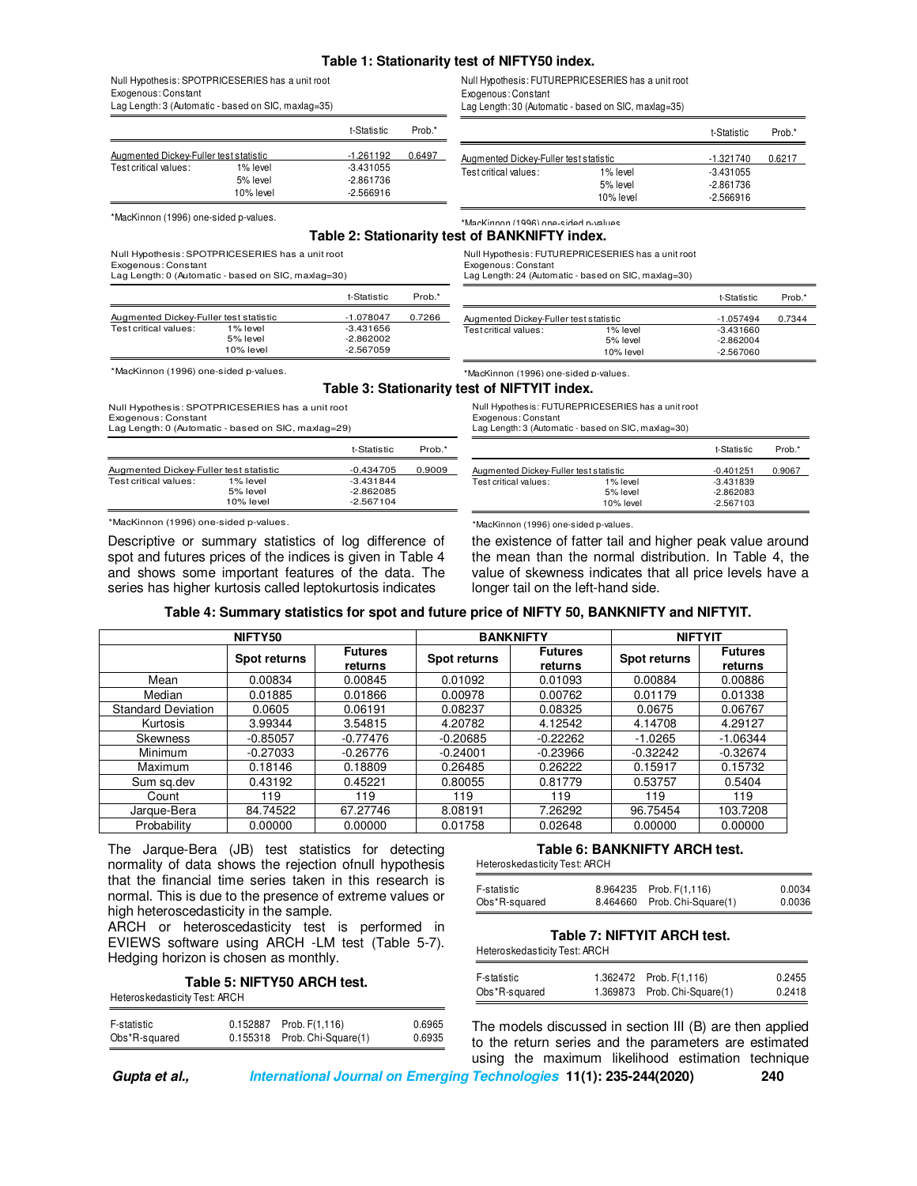#### **Table 1: Stationarity test of NIFTY50 index.**

Exogenous: Constant

### Null Hypothesis: SPOTPRICESERIES has a unit root Exogenous: Constant

Lag Length: 3 (Automatic - based on SIC, maxlag=35)

|                                        |             | t-Statistic | Prob.* |                                        |             | t-Statistic | Prob.* |
|----------------------------------------|-------------|-------------|--------|----------------------------------------|-------------|-------------|--------|
| Augmented Dickey-Fuller test statistic |             | $-1.261192$ | 0.6497 | Augmented Dickey-Fuller test statistic |             | $-1.321740$ | 0.6217 |
| Test critical values:                  | 1% level    | $-3.431055$ |        | Test critical values:                  | 1% level    | $-3.431055$ |        |
|                                        | 5% level    | $-2.861736$ |        |                                        | 5% level    | $-2.861736$ |        |
|                                        | $10%$ level | $-2.566916$ |        |                                        | $10%$ level | $-2.566916$ |        |
| *MacKinnon (1996) one-sided p-values.  |             |             |        | *MacKinnon (1996) one-sided n-values   |             |             |        |

## **Table 2: Stationarity test of BANKNIFTY index.**

Null Hypothesis: SPOTPRICESERIES has a unit root

Exogenous: Constant

Lag Length: 0 (Automatic - based on SIC, maxlag=30)

Null Hypothesis: SPOTPRICESERIES has a unit root

Lag Length: 0 (Automatic - based on SIC, maxlag=29)

|                                        |           | t-Statistic | Prob.* |
|----------------------------------------|-----------|-------------|--------|
| Augmented Dickey-Fuller test statistic |           | $-1.078047$ | 0.7266 |
| Test critical values:                  | 1% level  | $-3.431656$ |        |
|                                        | 5% level  | $-2.862002$ |        |
|                                        | 10% level | $-2.567059$ |        |

Exogenous: Constant Lag Length: 24 (Automatic - based on SIC, maxlag=30)

Null Hypothesis: FUTUREPRICESERIES has a unit root

Null Hypothesis: FUTUREPRICESERIES has a unit root

Lag Length: 30 (Automatic - based on SIC, maxlag=35)

|                                        |           | t-Statistic | Prob.* |
|----------------------------------------|-----------|-------------|--------|
| Augmented Dickey-Fuller test statistic |           | $-1.057494$ | 0.7344 |
| Test critical values:                  | 1% level  | $-3.431660$ |        |
|                                        | 5% level  | $-2.862004$ |        |
|                                        | 10% level | -2.567060   |        |

\*MacKinnon (1996) one-sided p-values.

Exogenous: Constant

**Table 3: Stationarity test of NIFTYIT index.**

Null Hypothesis: FUTUREPRICESERIES has a unit root

Exogenous: Constant

longer tail on the left-hand side.

\*MacKinnon (1996) one-sided p-values.

Lag Length: 3 (Automatic - based on SIC, maxlag=30)

\*MacKinnon (1996) one-sided p-values.

|                                        |           | t-Statistic | Prob.* |
|----------------------------------------|-----------|-------------|--------|
| Augmented Dickey-Fuller test statistic |           | $-0.401251$ | 0.9067 |
| Test critical values:                  | 1% level  | $-3.431839$ |        |
|                                        | 5% level  | $-2.862083$ |        |
|                                        | 10% level | $-2.567103$ |        |

\*MacKinnon (1996) one-sided p-values.

Test critical values: 1% level<br>5% level

Descriptive or summary statistics of log difference of spot and futures prices of the indices is given in Table 4 and shows some important features of the data. The series has higher kurtosis called leptokurtosis indicates

Augmented Dickey-Fuller test statistic -0.434705 0.9009<br>Test critical values: 1% level -3.431844

5% level 2.862085<br>10% level -2.567104

the existence of fatter tail and higher peak value around the mean than the normal distribution. In Table 4, the value of skewness indicates that all price levels have a

|  |  | Table 4: Summary statistics for spot and future price of NIFTY 50, BANKNIFTY and NIFTYIT. |
|--|--|-------------------------------------------------------------------------------------------|
|  |  |                                                                                           |

t-Statistic Prob.\*

 $-2.567104$ 

| NIFTY50                   |              |                           | <b>BANKNIFTY</b> |                           | <b>NIFTYIT</b> |                           |
|---------------------------|--------------|---------------------------|------------------|---------------------------|----------------|---------------------------|
|                           | Spot returns | <b>Futures</b><br>returns | Spot returns     | <b>Futures</b><br>returns | Spot returns   | <b>Futures</b><br>returns |
| Mean                      | 0.00834      | 0.00845                   | 0.01092          | 0.01093                   | 0.00884        | 0.00886                   |
| Median                    | 0.01885      | 0.01866                   | 0.00978          | 0.00762                   | 0.01179        | 0.01338                   |
| <b>Standard Deviation</b> | 0.0605       | 0.06191                   | 0.08237          | 0.08325                   | 0.0675         | 0.06767                   |
| Kurtosis                  | 3.99344      | 3.54815                   | 4.20782          | 4.12542                   | 4.14708        | 4.29127                   |
| Skewness                  | $-0.85057$   | $-0.77476$                | $-0.20685$       | $-0.22262$                | $-1.0265$      | $-1.06344$                |
| Minimum                   | $-0.27033$   | $-0.26776$                | $-0.24001$       | $-0.23966$                | $-0.32242$     | $-0.32674$                |
| Maximum                   | 0.18146      | 0.18809                   | 0.26485          | 0.26222                   | 0.15917        | 0.15732                   |
| Sum sq.dev                | 0.43192      | 0.45221                   | 0.80055          | 0.81779                   | 0.53757        | 0.5404                    |
| Count                     | 119          | 119                       | 119              | 119                       | 119            | 119                       |
| Jarque-Bera               | 84.74522     | 67.27746                  | 8.08191          | 7.26292                   | 96.75454       | 103.7208                  |
| Probability               | 0.00000      | 0.00000                   | 0.01758          | 0.02648                   | 0.00000        | 0.00000                   |

The Jarque-Bera (JB) test statistics for detecting normality of data shows the rejection ofnull hypothesis that the financial time series taken in this research is normal. This is due to the presence of extreme values or high heteroscedasticity in the sample.

ARCH or heteroscedasticity test is performed in EVIEWS software using ARCH -LM test (Table 5-7). Hedging horizon is chosen as monthly.

#### **Table 5: NIFTY50 ARCH test.**

Heteroskedasticity Test: ARCH

| F-statistic   | 0.152887 Prob. F(1.116)      | 0.6965 |
|---------------|------------------------------|--------|
| Obs*R-squared | 0.155318 Prob. Chi-Square(1) | 0.6935 |

## **Table 6: BANKNIFTY ARCH test.**

Heteroskedasticity Test: ARCH

| Obs*R-squared | 8.464660 Prob. Chi-Square(1) | 0.0036 |
|---------------|------------------------------|--------|
| F-statistic   | 8.964235 Prob. F(1,116)      | 0.0034 |
|               |                              |        |

## **Table 7: NIFTYIT ARCH test.**

Heteroskedasticity Test: ARCH

| F-statistic   | 1.362472 Prob. F(1,116)      | 0.2455 |
|---------------|------------------------------|--------|
| Obs*R-squared | 1.369873 Prob. Chi-Square(1) | 0.2418 |

The models discussed in section III (B) are then applied to the return series and the parameters are estimated using the maximum likelihood estimation technique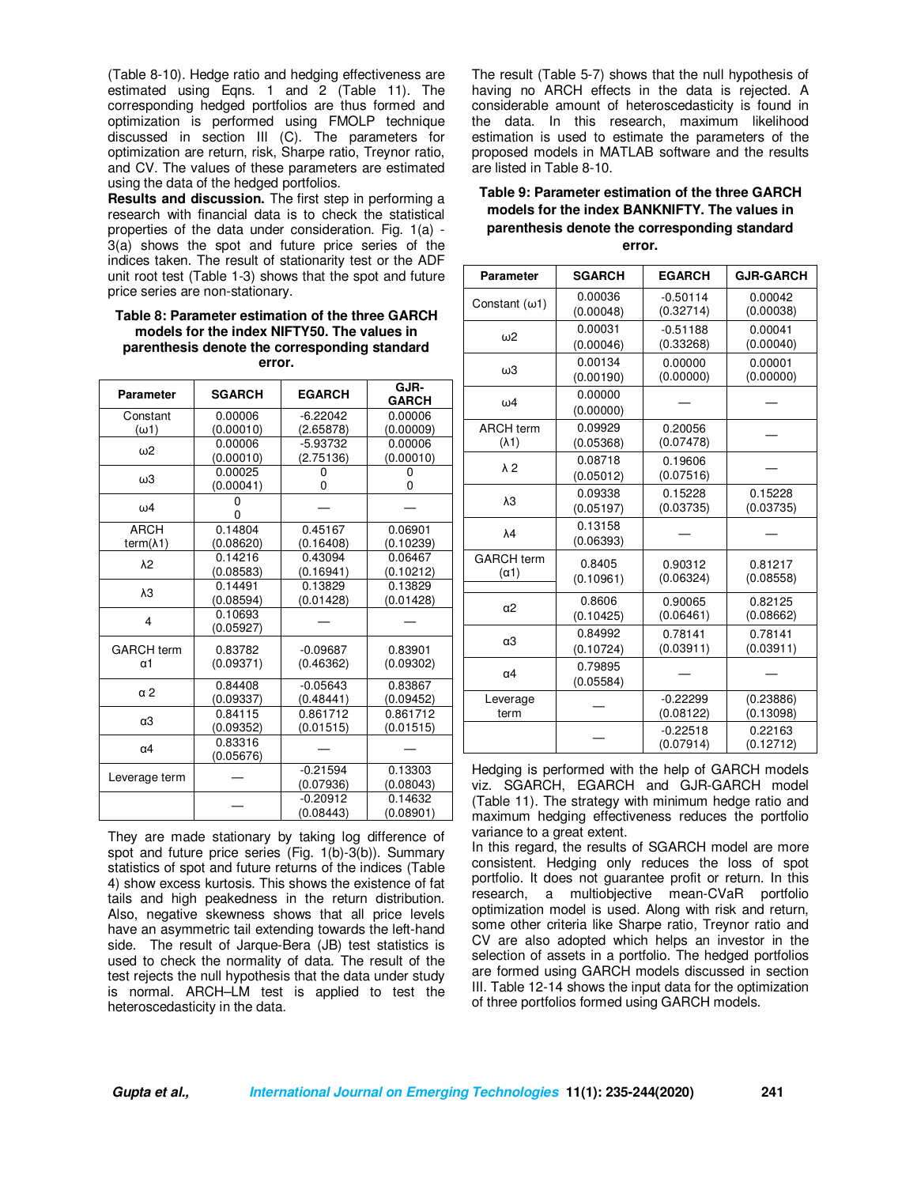(Table 8-10). Hedge ratio and hedging effectiveness are estimated using Eqns. 1 and 2 (Table 11). The corresponding hedged portfolios are thus formed and optimization is performed using FMOLP technique discussed in section III (C). The parameters for optimization are return, risk, Sharpe ratio, Treynor ratio, and CV. The values of these parameters are estimated using the data of the hedged portfolios.

**Results and discussion.** The first step in performing a research with financial data is to check the statistical properties of the data under consideration. Fig. 1(a) - 3(a) shows the spot and future price series of the indices taken. The result of stationarity test or the ADF unit root test (Table 1-3) shows that the spot and future price series are non-stationary.

### **Table 8: Parameter estimation of the three GARCH models for the index NIFTY50. The values in parenthesis denote the corresponding standard error.**

| <b>Parameter</b>   | <b>SGARCH</b> | <b>EGARCH</b> | GJR-<br><b>GARCH</b> |
|--------------------|---------------|---------------|----------------------|
| Constant           | 0.00006       | $-6.22042$    | 0.00006              |
| $(\omega$ 1)       | (0.00010)     | (2.65878)     | (0.00009)            |
| ω2                 | 0.00006       | $-5.93732$    | 0.00006              |
|                    | (0.00010)     | (2.75136)     | (0.00010)            |
| ωЗ                 | 0.00025       | 0             | 0                    |
|                    | (0.00041)     | 0             | 0                    |
| $\omega$ 4         | 0             |               |                      |
| <b>ARCH</b>        | 0.14804       | 0.45167       | 0.06901              |
| term $(\lambda 1)$ | (0.08620)     | (0.16408)     | (0.10239)            |
|                    | 0.14216       | 0.43094       | 0.06467              |
| $\lambda$ 2        | (0.08583)     | (0.16941)     | (0.10212)            |
|                    | 0.14491       | 0.13829       | 0.13829              |
| $\lambda$ 3        | (0.08594)     | (0.01428)     | (0.01428)            |
|                    | 0.10693       |               |                      |
| 4                  | (0.05927)     |               |                      |
| <b>GARCH term</b>  | 0.83782       | $-0.09687$    | 0.83901              |
| α1                 | (0.09371)     | (0.46362)     | (0.09302)            |
|                    | 0.84408       | $-0.05643$    | 0.83867              |
| α2                 | (0.09337)     | (0.48441)     | (0.09452)            |
|                    | 0.84115       | 0.861712      | 0.861712             |
| α3                 | (0.09352)     | (0.01515)     | (0.01515)            |
| $\alpha$ 4         | 0.83316       |               |                      |
|                    | (0.05676)     |               |                      |
| Leverage term      |               | $-0.21594$    | 0.13303              |
|                    |               | (0.07936)     | (0.08043)            |
|                    |               | $-0.20912$    | 0.14632              |
|                    |               | (0.08443)     | (0.08901)            |

They are made stationary by taking log difference of spot and future price series (Fig. 1(b)-3(b)). Summary statistics of spot and future returns of the indices (Table 4) show excess kurtosis. This shows the existence of fat tails and high peakedness in the return distribution. Also, negative skewness shows that all price levels have an asymmetric tail extending towards the left-hand side. The result of Jarque-Bera (JB) test statistics is used to check the normality of data. The result of the test rejects the null hypothesis that the data under study is normal. ARCH–LM test is applied to test the heteroscedasticity in the data.

The result (Table 5-7) shows that the null hypothesis of having no ARCH effects in the data is rejected. A considerable amount of heteroscedasticity is found in the data. In this research, maximum likelihood estimation is used to estimate the parameters of the proposed models in MATLAB software and the results are listed in Table 8-10.

## **Table 9: Parameter estimation of the three GARCH models for the index BANKNIFTY. The values in parenthesis denote the corresponding standard error.**

| <b>Parameter</b>      | <b>SGARCH</b>        | <b>EGARCH</b>           | <b>GJR-GARCH</b>     |
|-----------------------|----------------------|-------------------------|----------------------|
| Constant $(\omega 1)$ | 0.00036              | $-0.50114$              | 0.00042              |
|                       | (0.00048)            | (0.32714)               | (0.00038)            |
| $\omega$ 2            | 0.00031              | $-0.51188$              | 0.00041              |
|                       | (0.00046)            | (0.33268)               | (0.00040)            |
| ω3                    | 0.00134              | 0.00000                 | 0.00001              |
|                       | (0.00190)            | (0.00000)               | (0.00000)            |
| $\omega$ 4            | 0.00000<br>(0.00000) |                         |                      |
| <b>ARCH term</b>      | 0.09929              | 0.20056                 |                      |
| $(\lambda 1)$         | (0.05368)            | (0.07478)               |                      |
| $\lambda$ 2           | 0.08718<br>(0.05012) | 0.19606<br>(0.07516)    |                      |
| λЗ                    | 0.09338              | 0.15228                 | 0.15228              |
|                       | (0.05197)            | (0.03735)               | (0.03735)            |
| λ4                    | 0.13158<br>(0.06393) |                         |                      |
| <b>GARCH</b> term     | 0.8405               | 0.90312                 | 0.81217              |
| $(\alpha 1)$          | (0.10961)            | (0.06324)               | (0.08558)            |
| α2                    | 0.8606               | 0.90065                 | 0.82125              |
|                       | (0.10425)            | (0.06461)               | (0.08662)            |
| α3                    | 0.84992              | 0.78141                 | 0.78141              |
|                       | (0.10724)            | (0.03911)               | (0.03911)            |
| α4                    | 0.79895<br>(0.05584) |                         |                      |
| Leverage              |                      | $-0.22299$              | (0.23886)            |
| term                  |                      | (0.08122)               | (0.13098)            |
|                       |                      | $-0.22518$<br>(0.07914) | 0.22163<br>(0.12712) |

Hedging is performed with the help of GARCH models viz. SGARCH, EGARCH and GJR-GARCH model (Table 11). The strategy with minimum hedge ratio and maximum hedging effectiveness reduces the portfolio variance to a great extent.

In this regard, the results of SGARCH model are more consistent. Hedging only reduces the loss of spot portfolio. It does not guarantee profit or return. In this research, a multiobjective mean-CVaR portfolio optimization model is used. Along with risk and return, some other criteria like Sharpe ratio, Treynor ratio and CV are also adopted which helps an investor in the selection of assets in a portfolio. The hedged portfolios are formed using GARCH models discussed in section III. Table 12-14 shows the input data for the optimization of three portfolios formed using GARCH models.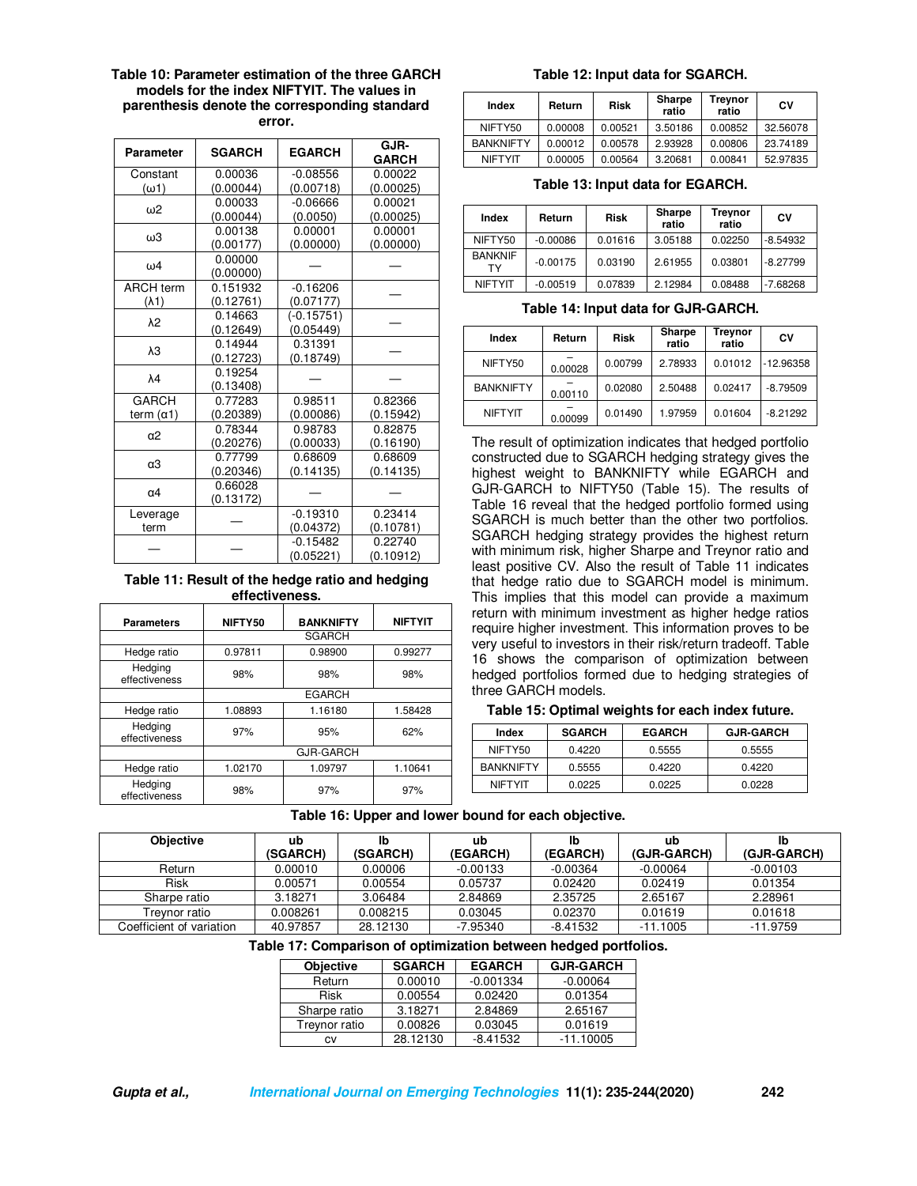| Table 10: Parameter estimation of the three GARCH |
|---------------------------------------------------|
| models for the index NIFTYIT. The values in       |
| parenthesis denote the corresponding standard     |
| error.                                            |

| <b>Parameter</b>  | <b>SGARCH</b>        | <b>EGARCH</b> | GJR-<br><b>GARCH</b> |  |
|-------------------|----------------------|---------------|----------------------|--|
| Constant          | 0.00036              | $-0.08556$    | 0.00022              |  |
| $(\omega 1)$      | (0.00044)            | (0.00718)     | (0.00025)            |  |
| ω2                | 0.00033              | $-0.06666$    | 0.00021              |  |
|                   | (0.00044)            | (0.0050)      | (0.00025)            |  |
| ωЗ                | 0.00138              | 0.00001       | 0.00001              |  |
|                   | (0.00177)            | (0.00000)     | (0.00000)            |  |
| ω4                | 0.00000<br>(0.00000) |               |                      |  |
| <b>ARCH term</b>  | 0.151932             | $-0.16206$    |                      |  |
| $(\lambda 1)$     | (0.12761)            | (0.07177)     |                      |  |
| $\lambda$ 2       | 0.14663              | $(-0.15751)$  |                      |  |
|                   | (0.12649)            | (0.05449)     |                      |  |
| λЗ                | 0.14944              | 0.31391       |                      |  |
|                   | (0.12723)            | (0.18749)     |                      |  |
| $\lambda$ 4       | 0.19254              |               |                      |  |
|                   | (0.13408)            |               |                      |  |
| <b>GARCH</b>      | 0.77283              | 0.98511       | 0.82366              |  |
| term $(\alpha 1)$ | (0.20389)            | (0.00086)     | (0.15942)            |  |
| α2                | 0.78344              | 0.98783       | 0.82875              |  |
|                   | (0.20276)            | (0.00033)     | (0.16190)            |  |
| α3                | 0.77799              | 0.68609       | 0.68609              |  |
|                   | (0.20346)            | (0.14135)     | (0.14135)            |  |
| $\alpha$ 4        | 0.66028              |               |                      |  |
|                   | (0.13172)            |               |                      |  |
| Leverage          |                      | $-0.19310$    | 0.23414              |  |
| term              |                      | (0.04372)     | (0.10781)            |  |
|                   |                      | $-0.15482$    | 0.22740              |  |
|                   |                      | (0.05221)     | (0.10912)            |  |

**Table 11: Result of the hedge ratio and hedging effectiveness.**

| <b>Parameters</b>        | NIFTY50       | <b>BANKNIFTY</b> | <b>NIFTYIT</b> |  |  |
|--------------------------|---------------|------------------|----------------|--|--|
|                          |               | <b>SGARCH</b>    |                |  |  |
| Hedge ratio              | 0.97811       | 0.98900          | 0.99277        |  |  |
| Hedging<br>effectiveness | 98%           | 98%              | 98%            |  |  |
|                          | <b>EGARCH</b> |                  |                |  |  |
| Hedge ratio              | 1.08893       | 1.16180          | 1.58428        |  |  |
| Hedging<br>effectiveness | 97%           | 95%              | 62%            |  |  |
|                          |               | <b>GJR-GARCH</b> |                |  |  |
| Hedge ratio              | 1.02170       | 1.09797          | 1.10641        |  |  |
| Hedging<br>effectiveness | 98%           | 97%              | 97%            |  |  |

### **Table 12: Input data for SGARCH.**

| Index            | Return  | <b>Risk</b> | Sharpe<br>ratio | Treynor<br>ratio | C٧       |
|------------------|---------|-------------|-----------------|------------------|----------|
| NIFTY50          | 0.00008 | 0.00521     | 3.50186         | 0.00852          | 32.56078 |
| <b>BANKNIFTY</b> | 0.00012 | 0.00578     | 2.93928         | 0.00806          | 23.74189 |
| <b>NIFTYIT</b>   | 0.00005 | 0.00564     | 3.20681         | 0.00841          | 52.97835 |

**Table 13: Input data for EGARCH.**

| Index                | Return     | <b>Risk</b> | Sharpe<br>ratio | Treynor<br>ratio | C٧         |
|----------------------|------------|-------------|-----------------|------------------|------------|
| NIFTY50              | $-0.00086$ | 0.01616     | 3.05188         | 0.02250          | $-8.54932$ |
| <b>BANKNIF</b><br>тγ | $-0.00175$ | 0.03190     | 2.61955         | 0.03801          | $-8.27799$ |
| <b>NIFTYIT</b>       | $-0.00519$ | 0.07839     | 2.12984         | 0.08488          | $-7.68268$ |

**Table 14: Input data for GJR-GARCH.** 

| Index            | Return  | <b>Risk</b> | Sharpe<br>ratio | Treynor<br>ratio | C٧          |
|------------------|---------|-------------|-----------------|------------------|-------------|
| NIFTY50          | 0.00028 | 0.00799     | 2.78933         | 0.01012          | $-12.96358$ |
| <b>BANKNIFTY</b> | 0.00110 | 0.02080     | 2.50488         | 0.02417          | $-8.79509$  |
| <b>NIFTYIT</b>   | 0.00099 | 0.01490     | 1.97959         | 0.01604          | $-8.21292$  |

The result of optimization indicates that hedged portfolio constructed due to SGARCH hedging strategy gives the highest weight to BANKNIFTY while EGARCH and GJR-GARCH to NIFTY50 (Table 15). The results of Table 16 reveal that the hedged portfolio formed using SGARCH is much better than the other two portfolios. SGARCH hedging strategy provides the highest return with minimum risk, higher Sharpe and Treynor ratio and least positive CV. Also the result of Table 11 indicates that hedge ratio due to SGARCH model is minimum. This implies that this model can provide a maximum return with minimum investment as higher hedge ratios require higher investment. This information proves to be very useful to investors in their risk/return tradeoff. Table 16 shows the comparison of optimization between hedged portfolios formed due to hedging strategies of three GARCH models.

## **Table 15: Optimal weights for each index future.**

| Index            | <b>SGARCH</b> | <b>EGARCH</b> | <b>GJR-GARCH</b> |
|------------------|---------------|---------------|------------------|
| NIFTY50          | 0.4220        | 0.5555        | 0.5555           |
| <b>BANKNIFTY</b> | 0.5555        | 0.4220        | 0.4220           |
| <b>NIFTYIT</b>   | 0.0225        | 0.0225        | 0.0228           |

## **Table 16: Upper and lower bound for each objective.**

| <b>Objective</b>         | ub       | lb       | ub         | lb         | ub          |             |
|--------------------------|----------|----------|------------|------------|-------------|-------------|
|                          | (SGARCH) | (SGARCH) | (EGARCH)   | (EGARCH)   | (GJR-GARCH) | (GJR-GARCH) |
| Return                   | 0.00010  | 0.00006  | $-0.00133$ | $-0.00364$ | $-0.00064$  | $-0.00103$  |
| <b>Risk</b>              | 0.00571  | 0.00554  | 0.05737    | 0.02420    | 0.02419     | 0.01354     |
| Sharpe ratio             | 3.18271  | 3.06484  | 2.84869    | 2.35725    | 2.65167     | 2.28961     |
| Trevnor ratio            | 0.008261 | 0.008215 | 0.03045    | 0.02370    | 0.01619     | 0.01618     |
| Coefficient of variation | 40.97857 | 28.12130 | $-7.95340$ | $-8.41532$ | $-11.1005$  | $-11.9759$  |

### **Table 17: Comparison of optimization between hedged portfolios.**

| <b>Objective</b> | <b>SGARCH</b> | <b>EGARCH</b> | <b>GJR-GARCH</b> |
|------------------|---------------|---------------|------------------|
| Return           | 0.00010       | $-0.001334$   | $-0.00064$       |
| <b>Risk</b>      | 0.00554       | 0.02420       | 0.01354          |
| Sharpe ratio     | 3.18271       | 2.84869       | 2.65167          |
| Treynor ratio    | 0.00826       | 0.03045       | 0.01619          |
| c٧               | 28.12130      | $-8.41532$    | $-11.10005$      |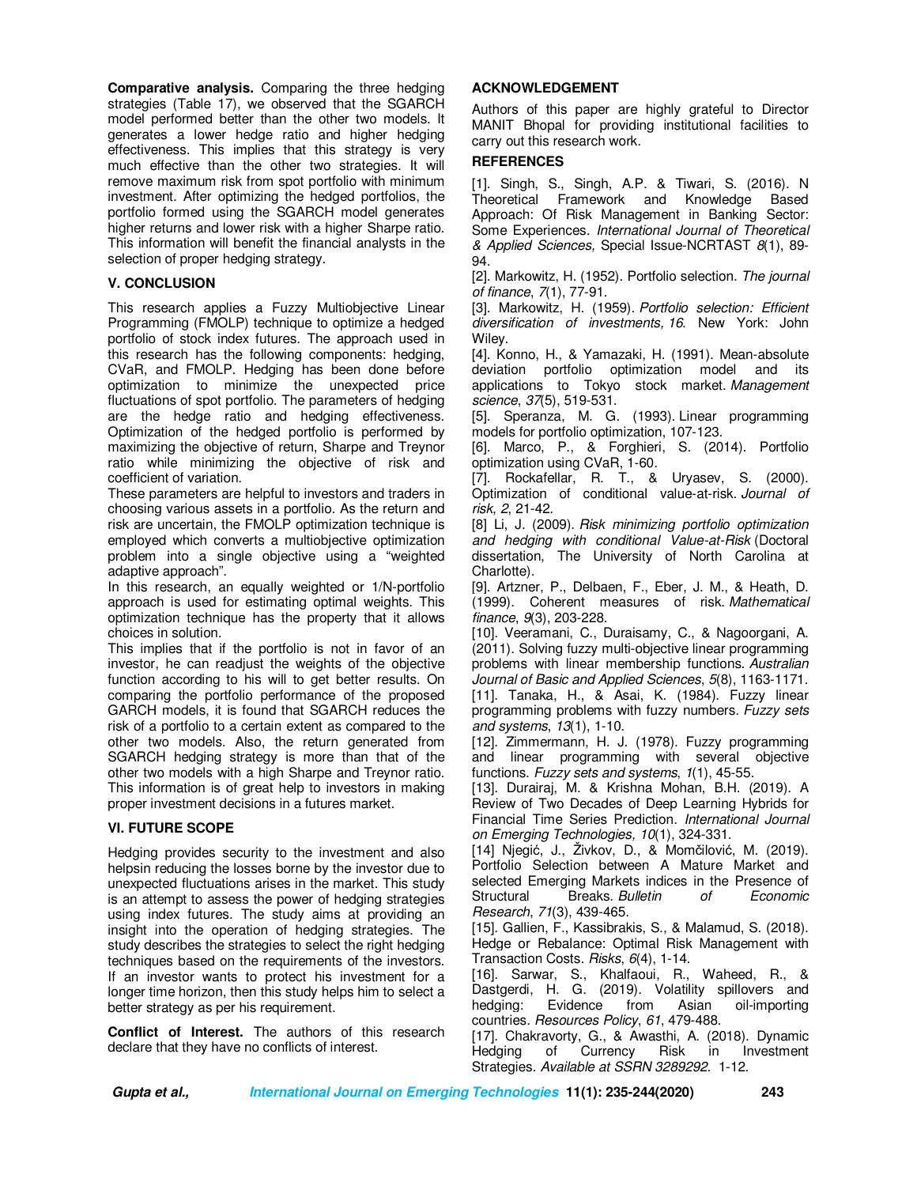**Comparative analysis.** Comparing the three hedging strategies (Table 17), we observed that the SGARCH model performed better than the other two models. It generates a lower hedge ratio and higher hedging effectiveness. This implies that this strategy is very much effective than the other two strategies. It will remove maximum risk from spot portfolio with minimum investment. After optimizing the hedged portfolios, the portfolio formed using the SGARCH model generates higher returns and lower risk with a higher Sharpe ratio. This information will benefit the financial analysts in the selection of proper hedging strategy.

## **V. CONCLUSION**

This research applies a Fuzzy Multiobjective Linear Programming (FMOLP) technique to optimize a hedged portfolio of stock index futures. The approach used in this research has the following components: hedging, CVaR, and FMOLP. Hedging has been done before optimization to minimize the unexpected price fluctuations of spot portfolio. The parameters of hedging are the hedge ratio and hedging effectiveness. Optimization of the hedged portfolio is performed by maximizing the objective of return, Sharpe and Treynor ratio while minimizing the objective of risk and coefficient of variation.

These parameters are helpful to investors and traders in choosing various assets in a portfolio. As the return and risk are uncertain, the FMOLP optimization technique is employed which converts a multiobjective optimization problem into a single objective using a "weighted adaptive approach".

In this research, an equally weighted or 1/N-portfolio approach is used for estimating optimal weights. This optimization technique has the property that it allows choices in solution.

This implies that if the portfolio is not in favor of an investor, he can readjust the weights of the objective function according to his will to get better results. On comparing the portfolio performance of the proposed GARCH models, it is found that SGARCH reduces the risk of a portfolio to a certain extent as compared to the other two models. Also, the return generated from SGARCH hedging strategy is more than that of the other two models with a high Sharpe and Treynor ratio. This information is of great help to investors in making proper investment decisions in a futures market.

## **VI. FUTURE SCOPE**

Hedging provides security to the investment and also helpsin reducing the losses borne by the investor due to unexpected fluctuations arises in the market. This study is an attempt to assess the power of hedging strategies using index futures. The study aims at providing an insight into the operation of hedging strategies. The study describes the strategies to select the right hedging techniques based on the requirements of the investors. If an investor wants to protect his investment for a longer time horizon, then this study helps him to select a better strategy as per his requirement.

**Conflict of Interest.** The authors of this research declare that they have no conflicts of interest.

## **ACKNOWLEDGEMENT**

Authors of this paper are highly grateful to Director MANIT Bhopal for providing institutional facilities to carry out this research work.

## **REFERENCES**

[1]. Singh, S., Singh, A.P. & Tiwari, S. (2016). N Theoretical Framework and Knowledge Based Approach: Of Risk Management in Banking Sector: Some Experiences. *International Journal of Theoretical & Applied Sciences,* Special Issue-NCRTAST *8*(1), 89- 94.

[2]. Markowitz, H. (1952). Portfolio selection. *The journal of finance*, *7*(1), 77-91.

[3]. Markowitz, H. (1959). *Portfolio selection: Efficient diversification of investments, 16*. New York: John Wiley.

[4]. Konno, H., & Yamazaki, H. (1991). Mean-absolute deviation portfolio optimization model and its applications to Tokyo stock market. *Management science*, *37*(5), 519-531.

[5]. Speranza, M. G. (1993). Linear programming models for portfolio optimization, 107-123.

[6]. Marco, P., & Forghieri, S. (2014). Portfolio optimization using CVaR, 1-60.

[7]. Rockafellar, R. T., & Uryasev, S. (2000). Optimization of conditional value-at-risk. *Journal of risk*, *2*, 21-42.

[8] Li, J. (2009). *Risk minimizing portfolio optimization and hedging with conditional Value-at-Risk* (Doctoral dissertation, The University of North Carolina at Charlotte).

[9]. Artzner, P., Delbaen, F., Eber, J. M., & Heath, D. (1999). Coherent measures of risk. *Mathematical finance*, *9*(3), 203-228.

[10]. Veeramani, C., Duraisamy, C., & Nagoorgani, A. (2011). Solving fuzzy multi-objective linear programming problems with linear membership functions. *Australian Journal of Basic and Applied Sciences*, *5*(8), 1163-1171. [11]. Tanaka, H., & Asai, K. (1984). Fuzzy linear programming problems with fuzzy numbers. *Fuzzy sets* 

*and systems*, *13*(1), 1-10. [12]. Zimmermann, H. J. (1978). Fuzzy programming and linear programming with several objective functions. *Fuzzy sets and systems*, *1*(1), 45-55.

[13]. Durairaj, M. & Krishna Mohan, B.H. (2019). A Review of Two Decades of Deep Learning Hybrids for Financial Time Series Prediction. *International Journal on Emerging Technologies, 10*(1), 324-331.

[14] Njegić, J., Živkov, D., & Momčilović, M. (2019). Portfolio Selection between A Mature Market and selected Emerging Markets indices in the Presence of Structural Breaks. *Bulletin of Economic Research*, *71*(3), 439-465.

[15]. Gallien, F., Kassibrakis, S., & Malamud, S. (2018). Hedge or Rebalance: Optimal Risk Management with Transaction Costs. *Risks*, *6*(4), 1-14.

[16]. Sarwar, S., Khalfaoui, R., Waheed, R., & Dastgerdi, H. G. (2019). Volatility spillovers and hedging: Evidence from Asian oil-importing countries. *Resources Policy*, *61*, 479-488.

[17]. Chakravorty, G., & Awasthi, A. (2018). Dynamic Hedging of Currency Risk in Investment Strategies. *Available at SSRN 3289292*. 1-12.